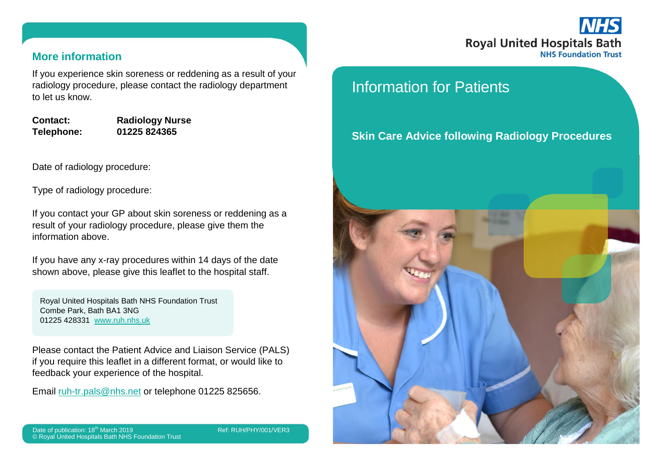# **Royal United Hospitals Bath NHS Foundation Trust**

#### **More information**

If you experience skin soreness or reddening as a result of your radiology procedure, please contact the radiology department to let us know.

**Contact: Radiology Nurse Telephone: 01225 824365**

Date of radiology procedure:

Type of radiology procedure:

If you contact your GP about skin soreness or reddening as a result of your radiology procedure, please give them the information above.

If you have any x-ray procedures within 14 days of the date shown above, please give this leaflet to the hospital staff.

Royal United Hospitals Bath NHS Foundation Trust Combe Park, Bath BA1 3NG 01225 428331 [www.ruh.nhs.uk](http://www.ruh.nhs.uk/)

Please contact the Patient Advice and Liaison Service (PALS) if you require this leaflet in a different format, or would like to feedback your experience of the hospital.

Email [ruh-tr.pals@nhs.net](mailto:ruh-tr.pals@nhs.net) or telephone 01225 825656.

Date of publication: 18<sup>th</sup> March 2019 Ref: RUH/PHY/001/VER3 © Royal United Hospitals Bath NHS Foundation Trust

## Information for Patients

### **Skin Care Advice following Radiology Procedures**